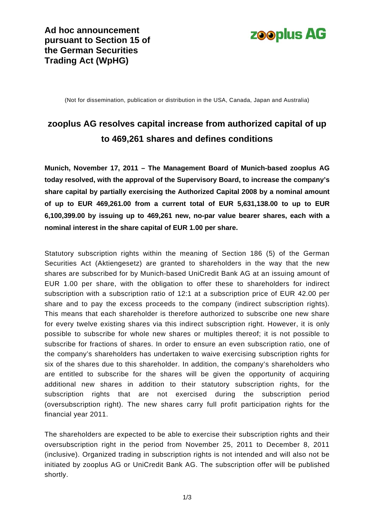

(Not for dissemination, publication or distribution in the USA, Canada, Japan and Australia)

# **zooplus AG resolves capital increase from authorized capital of up to 469,261 shares and defines conditions**

**Munich, November 17, 2011 – The Management Board of Munich-based zooplus AG today resolved, with the approval of the Supervisory Board, to increase the company's share capital by partially exercising the Authorized Capital 2008 by a nominal amount of up to EUR 469,261.00 from a current total of EUR 5,631,138.00 to up to EUR 6,100,399.00 by issuing up to 469,261 new, no-par value bearer shares, each with a nominal interest in the share capital of EUR 1.00 per share.** 

Statutory subscription rights within the meaning of Section 186 (5) of the German Securities Act (Aktiengesetz) are granted to shareholders in the way that the new shares are subscribed for by Munich-based UniCredit Bank AG at an issuing amount of EUR 1.00 per share, with the obligation to offer these to shareholders for indirect subscription with a subscription ratio of 12:1 at a subscription price of EUR 42.00 per share and to pay the excess proceeds to the company (indirect subscription rights). This means that each shareholder is therefore authorized to subscribe one new share for every twelve existing shares via this indirect subscription right. However, it is only possible to subscribe for whole new shares or multiples thereof; it is not possible to subscribe for fractions of shares. In order to ensure an even subscription ratio, one of the company's shareholders has undertaken to waive exercising subscription rights for six of the shares due to this shareholder. In addition, the company's shareholders who are entitled to subscribe for the shares will be given the opportunity of acquiring additional new shares in addition to their statutory subscription rights, for the subscription rights that are not exercised during the subscription period (oversubscription right). The new shares carry full profit participation rights for the financial year 2011.

The shareholders are expected to be able to exercise their subscription rights and their oversubscription right in the period from November 25, 2011 to December 8, 2011 (inclusive). Organized trading in subscription rights is not intended and will also not be initiated by zooplus AG or UniCredit Bank AG. The subscription offer will be published shortly.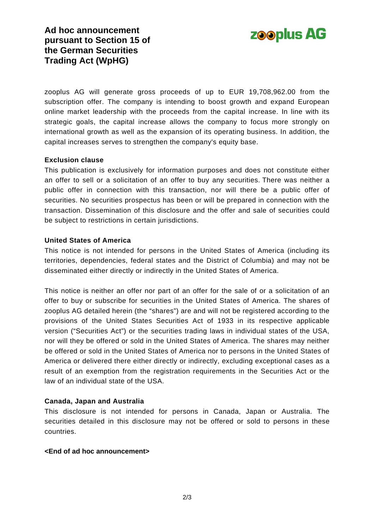

zooplus AG will generate gross proceeds of up to EUR 19,708,962.00 from the subscription offer. The company is intending to boost growth and expand European online market leadership with the proceeds from the capital increase. In line with its strategic goals, the capital increase allows the company to focus more strongly on international growth as well as the expansion of its operating business. In addition, the capital increases serves to strengthen the company's equity base.

# **Exclusion clause**

This publication is exclusively for information purposes and does not constitute either an offer to sell or a solicitation of an offer to buy any securities. There was neither a public offer in connection with this transaction, nor will there be a public offer of securities. No securities prospectus has been or will be prepared in connection with the transaction. Dissemination of this disclosure and the offer and sale of securities could be subject to restrictions in certain jurisdictions.

#### **United States of America**

This notice is not intended for persons in the United States of America (including its territories, dependencies, federal states and the District of Columbia) and may not be disseminated either directly or indirectly in the United States of America.

This notice is neither an offer nor part of an offer for the sale of or a solicitation of an offer to buy or subscribe for securities in the United States of America. The shares of zooplus AG detailed herein (the "shares") are and will not be registered according to the provisions of the United States Securities Act of 1933 in its respective applicable version ("Securities Act") or the securities trading laws in individual states of the USA, nor will they be offered or sold in the United States of America. The shares may neither be offered or sold in the United States of America nor to persons in the United States of America or delivered there either directly or indirectly, excluding exceptional cases as a result of an exemption from the registration requirements in the Securities Act or the law of an individual state of the USA.

# **Canada, Japan and Australia**

This disclosure is not intended for persons in Canada, Japan or Australia. The securities detailed in this disclosure may not be offered or sold to persons in these countries.

#### **<End of ad hoc announcement>**